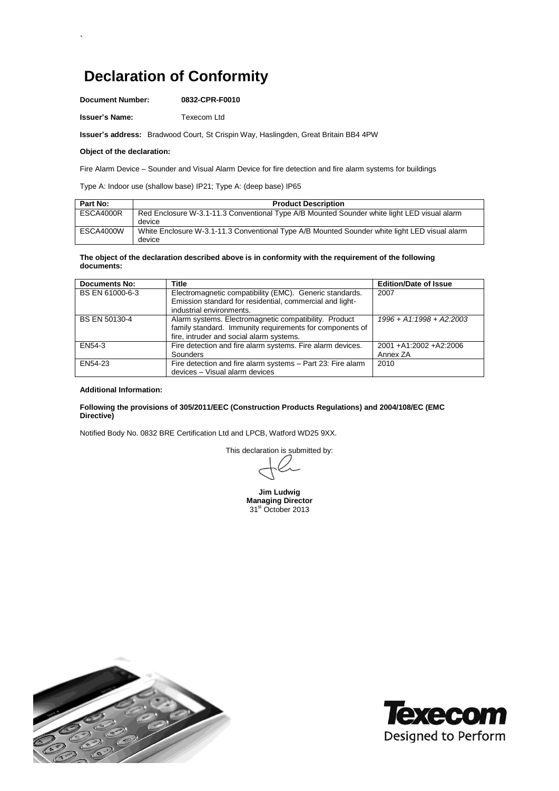# **Declaration of Conformity**

**Document Number: 0832-CPR-F0010**

**Issuer's Name:** Texecom Ltd

**Issuer's address:** Bradwood Court, St Crispin Way, Haslingden, Great Britain BB4 4PW

## **Object of the declaration:**

`

Fire Alarm Device – Sounder and Visual Alarm Device for fire detection and fire alarm systems for buildings

Type A: Indoor use (shallow base) IP21; Type A: (deep base) IP65

| Part No:  | <b>Product Description</b>                                                                              |
|-----------|---------------------------------------------------------------------------------------------------------|
| ESCA4000R | Red Enclosure W-3.1-11.3 Conventional Type A/B Mounted Sounder white light LED visual alarm             |
|           | device                                                                                                  |
| ESCA4000W | White Enclosure W-3.1-11.3 Conventional Type A/B Mounted Sounder white light LED visual alarm<br>device |

### **The object of the declaration described above is in conformity with the requirement of the following documents:**

| <b>Documents No:</b> | <b>Title</b>                                                                                                                                                  | <b>Edition/Date of Issue</b>         |
|----------------------|---------------------------------------------------------------------------------------------------------------------------------------------------------------|--------------------------------------|
| BS EN 61000-6-3      | Electromagnetic compatibility (EMC). Generic standards.<br>Emission standard for residential, commercial and light-<br>industrial environments.               | 2007                                 |
| BS EN 50130-4        | Alarm systems. Electromagnetic compatibility. Product<br>family standard. Immunity requirements for components of<br>fire, intruder and social alarm systems. | $1996 + A1:1998 + A2:2003$           |
| EN54-3               | Fire detection and fire alarm systems. Fire alarm devices.<br>Sounders                                                                                        | 2001 + A1:2002 + A2:2006<br>Annex ZA |
| EN54-23              | Fire detection and fire alarm systems - Part 23: Fire alarm<br>devices - Visual alarm devices                                                                 | 2010                                 |

### **Additional Information:**

## **Following the provisions of 305/2011/EEC (Construction Products Regulations) and 2004/108/EC (EMC Directive)**

Notified Body No. 0832 BRE Certification Ltd and LPCB, Watford WD25 9XX.

This declaration is submitted by:

**Jim Ludwig Managing Director**  $31<sup>st</sup>$  October 2013